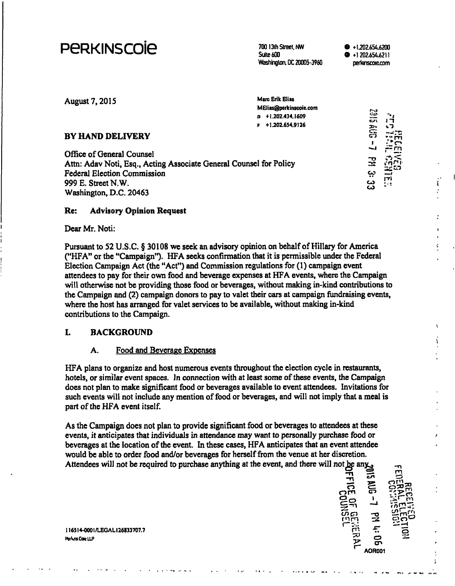# peRKiNscoie **700 13th street. NW**

**Suite 600 Washington, DC 20005-3960** 

**O +1.202.656.6200 O +1 202.656.6211 perkmscoieLCom** 

| August 7, 2015                                                     | <b>Marc Erik Elias</b><br>MElias@perkinscoie.com<br>n +1.202.434.1609<br>+1.202.654.9126 | e<br>cr <sub>i</sub> |       |
|--------------------------------------------------------------------|------------------------------------------------------------------------------------------|----------------------|-------|
| <b>BY HAND DELIVERY</b>                                            |                                                                                          | ៊ិ                   |       |
| Office of General Counsel                                          |                                                                                          | أحمد                 | וזה - |
| Attn: Adav Noti, Esq., Acting Associate General Counsel for Policy |                                                                                          | 곺                    |       |
| <b>Federal Election Commission</b>                                 |                                                                                          | بب                   |       |
| 999 E. Street N.W.                                                 |                                                                                          | دے<br>دے             | ודן   |
| Washington, D.C. 20463                                             |                                                                                          |                      |       |

#### **Re: Advisory Opinion Request**

Dear Mr. Noti:

Pursuant to 52 U.S.C. § 30108 we seek an advisory opinion on behalf of Hillary for America ("HFA" or the "Campaign"). HFA seeks confirmation that it is permissible under the Federal Election Campaign Act (the "Act") and Commission regulations for (1) campaign event attendees to pay for their own food and beverage expenses at HFA events, where the Campaign will otherwise not be providing those food or beverages, without making in-kind contributions to the Campaign and (2) campaign donors to pay to valet their cars at campaign fiindraising events, where the host has arranged for valet services to be available, without making in-kind contributions to the Campaign.

#### **L BACKGROUND**

#### A. Food and Beverage Expenses

HFA plans to organize and host numerous events throughout the election cycle in restaurants, hotels, or similar event spaces. In connection with at least some of these events, the Campaign does not plan to make significant food or beverages available to event attendees. Invitations for such events will not include any mention of food or beverages, and will not imply that a meal is part of the HFA event itself.

As the Campaign does not plan to provide significant food or beverages to attendees at these events, it anticipates that individuals in attendance may want to personally purchase food or beverages at the location of the event. In these cases, HFA anticipates that an event attendee would be able to order food and/or beverages for herself from the venue at her discretion. Attendees will not be required to purchase anything at the event, and there will not be any  $\frac{1}{2!}$ 

 $\overline{\mathbf{P}}$ **om**   $\frac{25}{50}$ mm **y cn S**  <u> က</u> **1 "O 1. ••i**   $\frac{1}{2}$   $\frac{1}{2}$   $\frac{1}{2}$ **o cr> AOR001** 

**116SI4-OOOI/LEGALI26833707.7 itakflsCowlLP**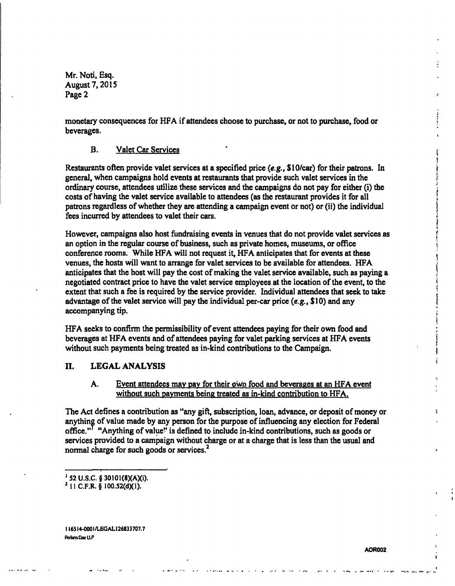Mr. Noti, Esq. August 7,2015 Page 2

monetary consequences for HFA if attendees choose to purchase, or not to purchase, food or beverages.

#### B. Valet Car Services

Restaurants often provide valet services at a specified price {e.g., \$10/car) for their patrons. In general, when campaigns hold events at restaurants that provide such valet services in the ordinary course, attendees utilize these services and the campaigns do not pay for either (i) the costs of having the valet service available to attendees (as the restaurant provides it for all patrons regardless of whether they are attending a campaign event or not) or (ii) the individual fees incurred by attendees to valet their cars.

However, campaigns also host fundraising events in venues that do not provide valet services as an option in the regular course of business, such as private homes, museums, or office conference rooms. While HFA will not request it, HFA anticipates that for events at these venues, the hosts will want to arrange for valet services to be available for attendees. HFA anticipates that the host will pay the cost of making the valet service available, such as paying a negotiated contract price to have the valet service employees at the location of the event, to the extent that such a fee is required by the service provider. Individual attendees that seek to take advantage of the valet service will pay the individual per-car price (e.g.,  $$10$ ) and any accompanying tip.

HFA seeks to confirm the permissibility of event attendees paying for their own food and beverages at HFA events and of attendees paying for valet parking services at HFA events without such payments being treated as in-kind contributions to the Campaign.

#### **II. LEGAL ANALYSIS**

### A. Event attendees may pay for their own food and beverages at an HFA event without such payments being treated as in-kind contribution to HFA.

The Act defines a contribution as "any gift, subscription, loan, advance, or deposit of money or anything of value made by any person for the purpose of influencing any election for Federal office." "Anything of value" is defined to include in-kind contributions, such as goods or services provided to a campaign without charge or at a charge that is less than the usual and normal charge for such goods or services.<sup>2</sup>

**I I6SI4-OOOI/LEGAL126833707.7 AHknsClwLLP** 

**<sup>&#</sup>x27;52 U.S.C.§30101(8)(A)(i).** 

**<sup>&#</sup>x27; 11 C.F.R. § 100.52(d)(1).**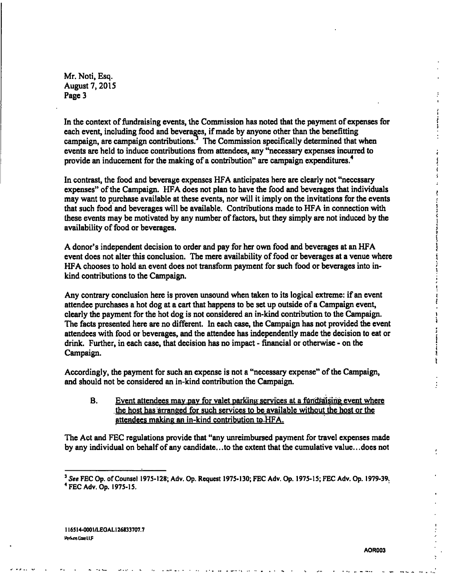**Mr. Noti, Esq. August 7,2015 Page 3** 

**In the context of fundraising events, the Commission has noted that the payment of expenses for each event, including food and beverages, if made by anyone other than the benefitting campaign, are campaign contributions? The Commission specifically determined that when events are held to induce contributions from attendees, any "necessary expenses incurred to provide an inducement for the making of a contribution" are campaign expenditures.^** 

**In contrast, the food and beverage expenses HFA anticipates here are clearly not "necessary expenses" of the Campaign. HFA does not plan to have the food and beverages that individuals may want to purchase available at these events, nor will it imply on the invitations for the events that such food and beverages will be available. Contributions made to HFA in connection with these events may be motivated by any number of factors, but they simply are not induced by the availability of food or beverages.** 

**A donor's independent decision to order and pay for her own food and beverages at an HFA**  event does not alter this conclusion. The mere availability of food or beverages at a venue where HFA chooses to hold an event does not transform payment for such food or beverages into in**kind contributions to the Campaign.** 

Any contrary conclusion here is proven unsound when taken to its logical extreme: if an event **attendee purchases a hot dog at a cart that happens to be set up outside of a Campaign event, clearly the payment for the hot dog is not considered an in-kind contribution to the Campaign. )**  The facts presented here are no different. In each case, the Campaign has not provided the event *attendees with food or beverages, and the attendee has independently made the decision to eat or \*  drink. Further, in each case, that decision has no impact - financial or otherwise - on the **Campaign.** The contract of the contract of the contract of the contract of the contract of the contract of the contract of the contract of the contract of the contract of the contract of the contract of the contract of th

**Accordingly, the payment for such an expense is not a "necessary expense" of the Campaign, and should not be considered an in-kind contribution the Campaign.** 

**B.** Event attendees may pay for valet parking services at a fundraising event where the host has arranged for such services to be available without the host or the **attendees making an in-kind contribution to HFA.** 

**The Act and FEC regulations provide that "any unreimbursed payment for travel expenses made by any individual on behalf of any candidate.. .to the extent that the cumulative value.. .does not** 

**AOR003** 

ś

**<sup>&#</sup>x27; See FEC Op. of Counsel 1975-128; Adv. Op. Request 1975-130; FEC Adv. Op. 1975-15; FEC Adv. Op. 1979-39. \* FEC Adv. Op. 1975-15.**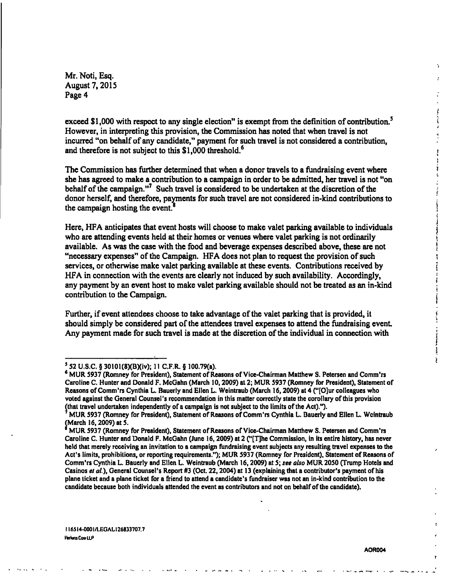**i** 

Mr. Noti, Esq. August 7,2015 Page 4

exceed \$1,000 with respect to any single election" is exempt from the definition of contribution.<sup>5</sup> However, in interpreting this provision, the Commission has noted that when travel is not incurred "on behalf of any candidate," payment for such travel is not considered a contribution, and therefore is not subject to this \$1,000 threshold.<sup>6</sup>

The Commission has further determined that when a donor travels to a fundraising event where she has agreed to make a contribution to a campaign in order to be admitted, her travel is not "on ' behalf of the campaign."<sup>7</sup> Such travel is considered to be undertaken at the discretion of the donor herself, and therefore, payments for such travel are not considered in-kind contributions to *the campaign hosting the event.' \* 

*Here, HFA anticipates that event hosts will choose to make valet parking available to individuals* who are attending events held at their homes or venues where valet parking is not ordinarily available. As was the case with the food and beverage expenses described above, these are not ' "necessary expenses" of the Campaign. HFA does not plan to request the provision of such ? services, or otherwise make valet parking available at these events. Contributions received by HFA in connection with the events are clearly not induced by such availability. Accordingly, any payment by an event host to make valet parking available should not be treated as an in-kind contribution to the Campaign.

Further, if event attendees choose to take advantage of the valet parking that is provided, it should simply be considered part of the attendees travel expenses to attend the fundraising event. Any payment made for such travel is made at the discretion of the individual in connection with

**AOR004** 

**<sup>&#</sup>x27; 52 U.S.C. § 30101 (8)(B)(iv); 11 C.F.R. § 100.79(a).** 

<sup>&</sup>lt;sup>6</sup> MUR 5937 (Romney for President), Statement of Reasons of Vice-Chairman Matthew S. Petersen and Comm'rs **Caroline C. Hunter and Donald F. McGahn (March 10,2009) at 2; MUR 5937 (Romney for President), Statement of Reasons of Comm'rs Cynthia L. Bauerly and Ellen L. Weintraub (March 16,2009) at 4 ("[0]ur colleagues who voted against the General Counsel's recommendation in this matter correctly state the corollary of this provision (that travel undertaken independently of a campaign is not subject to the limits of the Act).").** 

**MUR 5937 (Romney for President), Statement of Reasons of Comm'rs Cynthia L. Bauerly and Ellen L. Weintraub (March 16,2009) at 5.** 

**MUR 5937 (Romney for President), Statement of Reasons of Vice-Chairman Matthew S. Petersen and Comm'rs Caroline C. Hunter and Donald P. McGahn (June 16,2009) at 2 C'[T|he Commission, in its entire history, has never held that merely receiving an invitation to a campaign fundraising event subjects any resulting travel expenses to the Act's limits, prohibitions, or repotting requirements."); MUR 5937 (Romney for President), Statement of Reasons of Comm'rs Cynthia L. Bauerly and Ellen L. Weintraub (March 16,2009) at 5; see also MUR 2050 (Trump Hotels and Casinos el a/.), General Counsel's Report #3 (Oct. 22,2004) at 13 (explaining that a contributor's payment of his plane ticket and a plane ticket for a friend to attend a candidate's fundraiser was not an in-kind contribution to the candidate because both individuals attended the event as contributors and not on behalf of the candidate).**